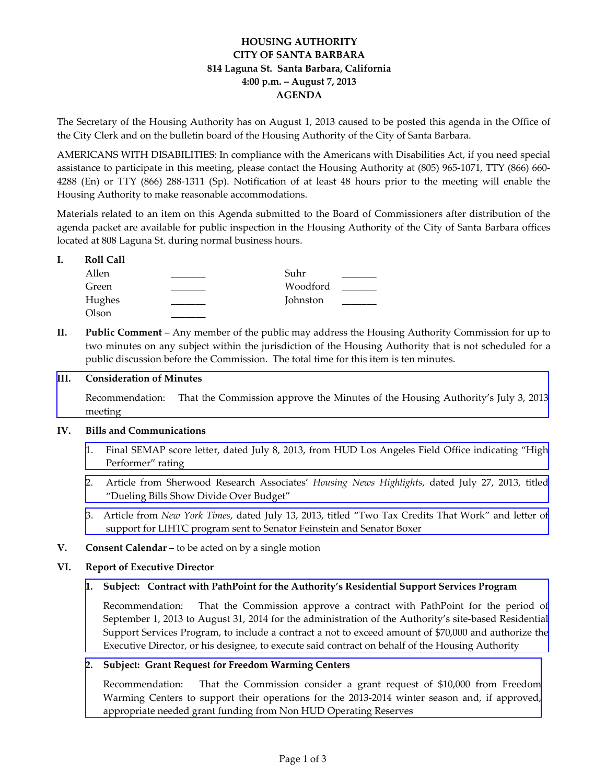# **HOUSING AUTHORITY CITY OF SANTA BARBARA 814 Laguna St. Santa Barbara, California 4:00 p.m. – August 7, 2013 AGENDA**

The Secretary of the Housing Authority has on August 1, 2013 caused to be posted this agenda in the Office of the City Clerk and on the bulletin board of the Housing Authority of the City of Santa Barbara.

AMERICANS WITH DISABILITIES: In compliance with the Americans with Disabilities Act, if you need special assistance to participate in this meeting, please contact the Housing Authority at (805) 965‐1071, TTY (866) 660‐ 4288 (En) or TTY (866) 288‐1311 (Sp). Notification of at least 48 hours prior to the meeting will enable the Housing Authority to make reasonable accommodations.

Materials related to an item on this Agenda submitted to the Board of Commissioners after distribution of the agenda packet are available for public inspection in the Housing Authority of the City of Santa Barbara offices located at 808 Laguna St. during normal business hours.

### **I. Roll Call**

| Allen  | Suhr     |  |
|--------|----------|--|
| Green  | Woodford |  |
| Hughes | Johnston |  |
| Olson  |          |  |

**II. Public Comment** – Any member of the public may address the Housing Authority Commission for up to two minutes on any subject within the jurisdiction of the Housing Authority that is not scheduled for a public discussion before the Commission. The total time for this item is ten minutes.

# **III. Consideration of Minutes**

[Recommendation:](http://www.hacsb.org/Library/agendas_minutes/2013/agenda_packet/Agenda_Packet_2013_08_07/item_III_I_2013_08_07.pdf) That the Commission approve the Minutes of the Housing Authority's July 3, 2013 meeting

# **IV. Bills and Communications**

- 1. Final SEMAP score letter, dated July 8, 2013, from HUD Los Angeles Field Office indicating "High [Performer"](http://www.hacsb.org/Library/agendas_minutes/2013/agenda_packet/Agenda_Packet_2013_08_07/item_IV_I_2013_08_07.pdf) rating
- 2. Article from Sherwood Research [Associates'](http://www.hacsb.org/Library/agendas_minutes/2013/agenda_packet/Agenda_Packet_2013_08_07/item_IV_II_2013_08_07.pdf) *Housing News Highlights*, dated July 27, 2013, titled "Dueling Bills Show Divide Over Budget"
- 3. Article from *New York Times*, dated July 13, 2013, titled "Two Tax Credits That Work" and letter of support for LIHTC program sent to Senator [Feinstein](http://www.hacsb.org/Library/agendas_minutes/2013/agenda_packet/Agenda_Packet_2013_08_07/item_IV_III_2013_08_07.pdf) and Senator Boxer
- **V. Consent Calendar** to be acted on by a single motion

# **VI. Report of Executive Director**

# **1. Subject: Contract with PathPoint for the Authority's Residential Support Services Program**

[Recommendation:](http://www.hacsb.org/Library/agendas_minutes/2013/agenda_packet/Agenda_Packet_2013_08_07/item_VI_I_2013_08_07.pdf) That the Commission approve a contract with PathPoint for the period of September 1, 2013 to August 31, 2014 for the administration of the Authority's site-based Residential Support Services Program, to include a contract a not to exceed amount of \$70,000 and authorize the Executive Director, or his designee, to execute said contract on behalf of the Housing Authority

#### **2. Subject: Grant Request for Freedom Warming Centers**

[Recommendation:](http://www.hacsb.org/Library/agendas_minutes/2013/agenda_packet/Agenda_Packet_2013_08_07/item_VI_II_2013_08_07.pdf) That the Commission consider a grant request of \$10,000 from Freedom Warming Centers to support their operations for the 2013-2014 winter season and, if approved, appropriate needed grant funding from Non HUD Operating Reserves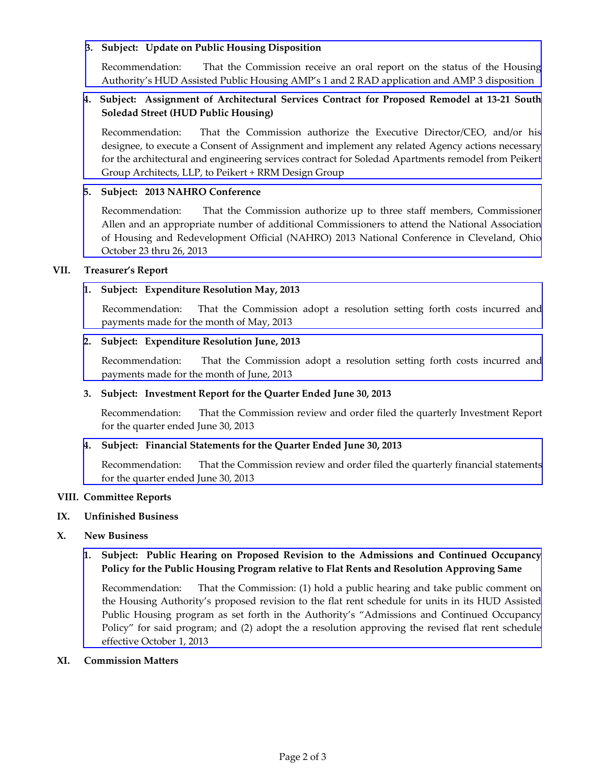### **3. Subject: Update on Public Housing Disposition**

[Recommendation:](http://www.hacsb.org/Library/agendas_minutes/2013/agenda_packet/Agenda_Packet_2013_08_07/item_VI_III_2013_08_07.pdf) That the Commission receive an oral report on the status of the Housing Authority's HUD Assisted Public Housing AMP's 1 and 2 RAD application and AMP 3 disposition

## **4. Subject: Assignment of Architectural Services Contract for Proposed Remodel at 13‐21 South Soledad Street (HUD Public Housing)**

[Recommendation:](http://www.hacsb.org/Library/agendas_minutes/2013/agenda_packet/Agenda_Packet_2013_08_07/item_VI_IV_2013_08_07.pdf) That the Commission authorize the Executive Director/CEO, and/or his designee, to execute a Consent of Assignment and implement any related Agency actions necessary for the architectural and engineering services contract for Soledad Apartments remodel from Peikert Group Architects, LLP, to Peikert + RRM Design Group

### **5. Subject: 2013 NAHRO Conference**

[Recommendation:](http://www.hacsb.org/Library/agendas_minutes/2013/agenda_packet/Agenda_Packet_2013_08_07/item_VI_V_2013_08_07.pdf) That the Commission authorize up to three staff members, Commissioner Allen and an appropriate number of additional Commissioners to attend the National Association of Housing and Redevelopment Official (NAHRO) 2013 National Conference in Cleveland, Ohio October 23 thru 26, 2013

### **VII. Treasurer's Report**

# **1. Subject: Expenditure Resolution May, 2013**

 [Recommendation:](http://www.hacsb.org/Library/agendas_minutes/2013/agenda_packet/Agenda_Packet_2013_08_07/item_VII_I_2013_08_07.pdf) That the Commission adopt a resolution setting forth costs incurred and payments made for the month of May, 2013

### **2. Subject: Expenditure Resolution June, 2013**

[Recommendation:](http://www.hacsb.org/Library/agendas_minutes/2013/agenda_packet/Agenda_Packet_2013_08_07/item_VII_II_2013_08_07.pdf) That the Commission adopt a resolution setting forth costs incurred and payments made for the month of June, 2013

#### **3. Subject: Investment Report for the Quarter Ended June 30, 2013**

 Recommendation: That the Commission review and order filed the quarterly Investment Report for the quarter ended June 30, 2013

#### **4. Subject: Financial Statements for the Quarter Ended June 30, 2013**

[Recommendation:](http://www.hacsb.org/Library/agendas_minutes/2013/agenda_packet/Agenda_Packet_2013_08_07/item_VII_IV_2013_08_07.pdf) That the Commission review and order filed the quarterly financial statements for the quarter ended June 30, 2013

#### **VIII. Committee Reports**

## **IX. Unfinished Business**

# **X. New Business**

# **1. Subject: Public Hearing on Proposed Revision to the Admissions and Continued Occupancy Policy for the Public Housing Program relative to Flat Rents and Resolution Approving Same**

[Recommendation:](http://www.hacsb.org/Library/agendas_minutes/2013/agenda_packet/Agenda_Packet_2013_08_07/item_X_I_2013_08_07.pdf) That the Commission: (1) hold a public hearing and take public comment on the Housing Authority's proposed revision to the flat rent schedule for units in its HUD Assisted Public Housing program as set forth in the Authority's "Admissions and Continued Occupancy Policy" for said program; and (2) adopt the a resolution approving the revised flat rent schedule effective October 1, 2013

#### **XI. Commission Matters**